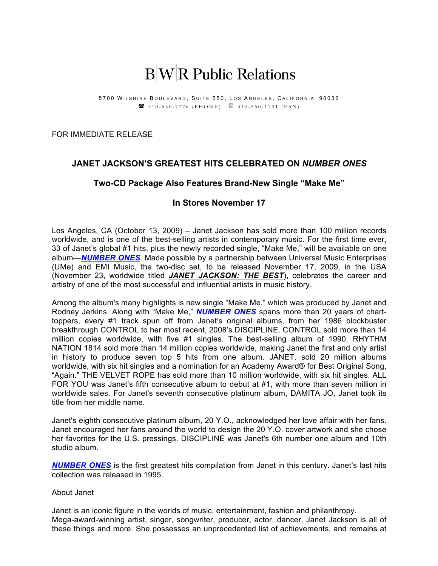# $B|W|R$  Public Relations

5700 WILSHIRE BOULEVARD, SUITE 550, LOS ANGELES, CALIFORNIA 90036 **2** 310 - 550 - 7776 (PHONE) 2 310 - 550 - 1701 (FAX)

FOR IMMEDIATE RELEASE

# **JANET JACKSON'S GREATEST HITS CELEBRATED ON** *NUMBER ONES*

## **Two-CD Package Also Features Brand-New Single "Make Me"**

### **In Stores November 17**

Los Angeles, CA (October 13, 2009) – Janet Jackson has sold more than 100 million records worldwide, and is one of the best-selling artists in contemporary music. For the first time ever, 33 of Janet's global #1 hits, plus the newly recorded single, "Make Me," will be available on one album—*NUMBER ONES*. Made possible by a partnership between Universal Music Enterprises (UMe) and EMI Music, the two-disc set, to be released November 17, 2009, in the USA (November 23, worldwide titled *JANET JACKSON: THE BEST*), celebrates the career and artistry of one of the most successful and influential artists in music history.

Among the album's many highlights is new single "Make Me," which was produced by Janet and Rodney Jerkins. Along with "Make Me," *NUMBER ONES* spans more than 20 years of charttoppers, every #1 track spun off from Janet's original albums, from her 1986 blockbuster breakthrough CONTROL to her most recent, 2008's DISCIPLINE. CONTROL sold more than 14 million copies worldwide, with five #1 singles. The best-selling album of 1990, RHYTHM NATION 1814 sold more than 14 million copies worldwide, making Janet the first and only artist in history to produce seven top 5 hits from one album. JANET. sold 20 million albums worldwide, with six hit singles and a nomination for an Academy Award® for Best Original Song, "Again." THE VELVET ROPE has sold more than 10 million worldwide, with six hit singles. ALL FOR YOU was Janet's fifth consecutive album to debut at #1, with more than seven million in worldwide sales. For Janet's seventh consecutive platinum album, DAMITA JO, Janet took its title from her middle name.

Janet's eighth consecutive platinum album, 20 Y.O., acknowledged her love affair with her fans. Janet encouraged her fans around the world to design the 20 Y.O. cover artwork and she chose her favorites for the U.S. pressings. DISCIPLINE was Janet's 6th number one album and 10th studio album.

*NUMBER ONES* is the first greatest hits compilation from Janet in this century. Janet's last hits collection was released in 1995.

#### About Janet

Janet is an iconic figure in the worlds of music, entertainment, fashion and philanthropy. Mega-award-winning artist, singer, songwriter, producer, actor, dancer, Janet Jackson is all of these things and more. She possesses an unprecedented list of achievements, and remains at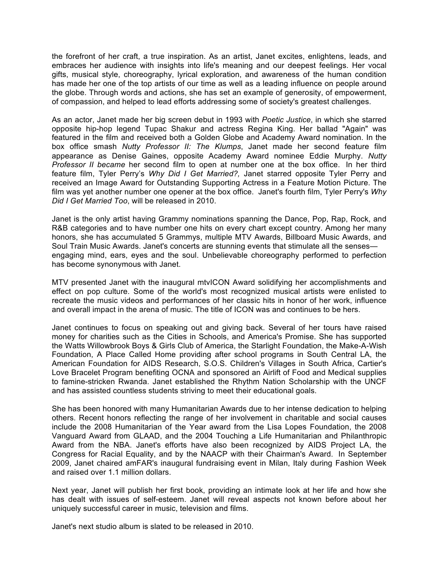the forefront of her craft, a true inspiration. As an artist, Janet excites, enlightens, leads, and embraces her audience with insights into life's meaning and our deepest feelings. Her vocal gifts, musical style, choreography, lyrical exploration, and awareness of the human condition has made her one of the top artists of our time as well as a leading influence on people around the globe. Through words and actions, she has set an example of generosity, of empowerment, of compassion, and helped to lead efforts addressing some of society's greatest challenges.

As an actor, Janet made her big screen debut in 1993 with *Poetic Justice*, in which she starred opposite hip-hop legend Tupac Shakur and actress Regina King. Her ballad "Again" was featured in the film and received both a Golden Globe and Academy Award nomination. In the box office smash *Nutty Professor II: The Klumps*, Janet made her second feature film appearance as Denise Gaines, opposite Academy Award nominee Eddie Murphy. *Nutty Professor II became* her second film to open at number one at the box office. In her third feature film, Tyler Perry's *Why Did I Get Married?,* Janet starred opposite Tyler Perry and received an Image Award for Outstanding Supporting Actress in a Feature Motion Picture. The film was yet another number one opener at the box office. Janet's fourth film, Tyler Perry's *Why Did I Get Married Too*, will be released in 2010.

Janet is the only artist having Grammy nominations spanning the Dance, Pop, Rap, Rock, and R&B categories and to have number one hits on every chart except country. Among her many honors, she has accumulated 5 Grammys, multiple MTV Awards, Billboard Music Awards, and Soul Train Music Awards. Janet's concerts are stunning events that stimulate all the senses engaging mind, ears, eyes and the soul. Unbelievable choreography performed to perfection has become synonymous with Janet.

MTV presented Janet with the inaugural mtvICON Award solidifying her accomplishments and effect on pop culture. Some of the world's most recognized musical artists were enlisted to recreate the music videos and performances of her classic hits in honor of her work, influence and overall impact in the arena of music. The title of ICON was and continues to be hers.

Janet continues to focus on speaking out and giving back. Several of her tours have raised money for charities such as the Cities in Schools, and America's Promise. She has supported the Watts Willowbrook Boys & Girls Club of America, the Starlight Foundation, the Make-A-Wish Foundation, A Place Called Home providing after school programs in South Central LA, the American Foundation for AIDS Research, S.O.S. Children's Villages in South Africa, Cartier's Love Bracelet Program benefiting OCNA and sponsored an Airlift of Food and Medical supplies to famine-stricken Rwanda. Janet established the Rhythm Nation Scholarship with the UNCF and has assisted countless students striving to meet their educational goals.

She has been honored with many Humanitarian Awards due to her intense dedication to helping others. Recent honors reflecting the range of her involvement in charitable and social causes include the 2008 Humanitarian of the Year award from the Lisa Lopes Foundation, the 2008 Vanguard Award from GLAAD, and the 2004 Touching a Life Humanitarian and Philanthropic Award from the NBA. Janet's efforts have also been recognized by AIDS Project LA, the Congress for Racial Equality, and by the NAACP with their Chairman's Award. In September 2009, Janet chaired amFAR's inaugural fundraising event in Milan, Italy during Fashion Week and raised over 1.1 million dollars.

Next year, Janet will publish her first book, providing an intimate look at her life and how she has dealt with issues of self-esteem. Janet will reveal aspects not known before about her uniquely successful career in music, television and films.

Janet's next studio album is slated to be released in 2010.